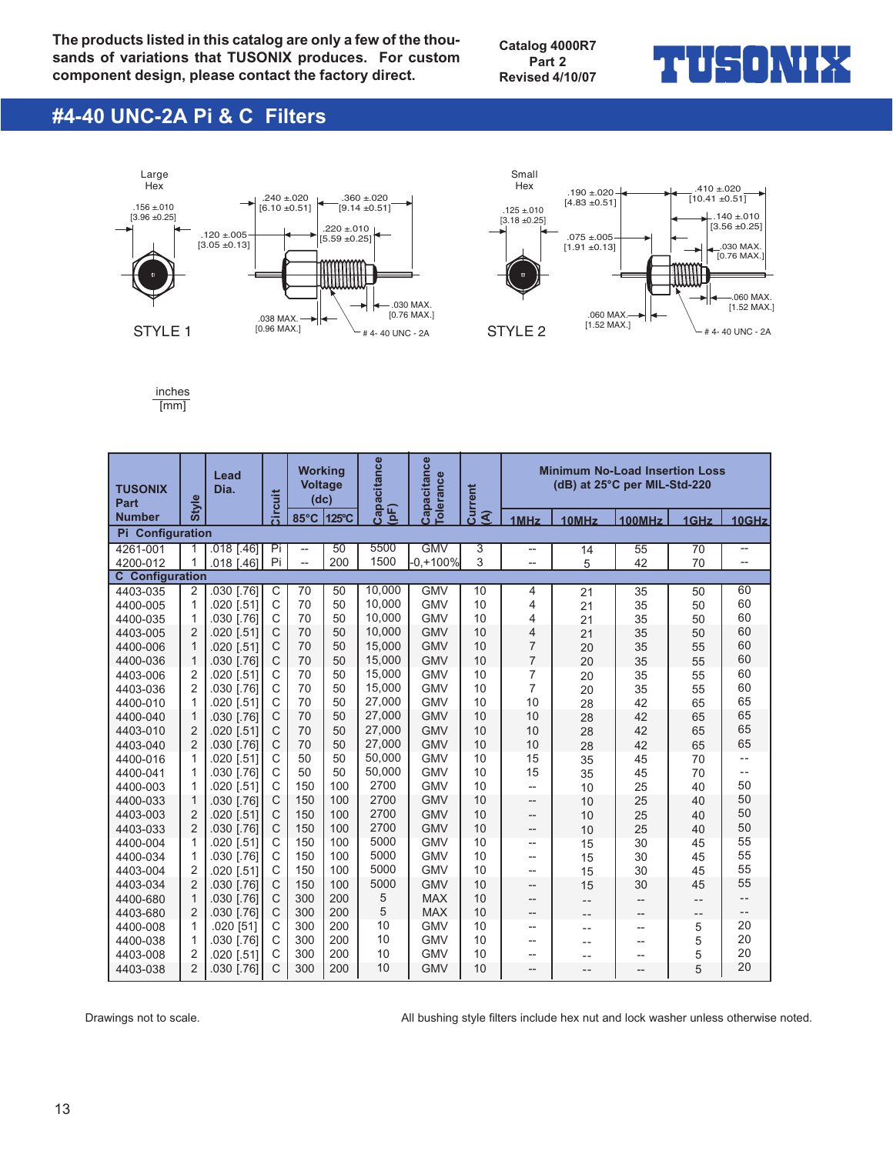**The products listed in this catalog are only a few of the thousands of variations that TUSONIX produces. For custom component design, please contact the factory direct.**

**Catalog 4000R7 Part 2 Revised 4/10/07**

### ▅▏▌┢╤┥╻╽╲╿┢

### **#4-40 UNC-2A Pi & C Filters**





inches [mm]

| <b>TUSONIX</b><br>Part | <b>Style</b>                     | Lead<br>Dia.             | <b>Circuit</b>               | <b>Working</b><br><b>Voltage</b><br>(dc) |          | Capacitance      |                          | Capacitance<br><b>Colerance</b><br><b>Current</b> |                                | <b>Minimum No-Load Insertion Loss</b><br>(dB) at 25°C per MIL-Std-220 |                   |          |                                    |  |  |  |
|------------------------|----------------------------------|--------------------------|------------------------------|------------------------------------------|----------|------------------|--------------------------|---------------------------------------------------|--------------------------------|-----------------------------------------------------------------------|-------------------|----------|------------------------------------|--|--|--|
| <b>Number</b>          |                                  |                          |                              | 85°C                                     | 125°C    | $\mathsf{E}$     |                          | ৰ                                                 | 1MHz                           | 10MHz                                                                 | <b>100MHz</b>     | 1GHz     | 10GHz                              |  |  |  |
| Pi Configuration       |                                  |                          |                              |                                          |          |                  |                          |                                                   |                                |                                                                       |                   |          |                                    |  |  |  |
| 4261-001               | 1                                | $.018$ $1.461$           | Pi                           | $\overline{\phantom{0}}$                 | 50       | 5500             | <b>GMV</b>               | 3                                                 | $\overline{\phantom{a}}$       | 14                                                                    | 55                | 70       | $\hspace{0.05cm} -\hspace{0.05cm}$ |  |  |  |
| 4200-012               | 1                                | 018 [.46]                | Pi                           | $\overline{\phantom{a}}$                 | 200      | 1500             | -0.+100%                 | 3                                                 | --                             | 5                                                                     | 42                | 70       | --                                 |  |  |  |
| <b>C</b> Configuration |                                  |                          |                              |                                          |          |                  |                          |                                                   |                                |                                                                       |                   |          |                                    |  |  |  |
| 4403-035               | 2                                | 030 [.76]                | $\mathsf{C}$                 | 70                                       | 50       | 10,000           | <b>GMV</b>               | 10                                                | 4                              | 21                                                                    | 35                | 50       | 60                                 |  |  |  |
| 4400-005               | 1                                | 020 [.51]                | C                            | 70                                       | 50       | 10,000           | <b>GMV</b>               | 10                                                | 4                              | 21                                                                    | 35                | 50       | 60                                 |  |  |  |
| 4400-035               | 1                                | .030 [.76]               | $\mathsf{C}$                 | 70                                       | 50       | 10.000           | <b>GMV</b>               | 10                                                | 4                              | 21                                                                    | 35                | 50       | 60                                 |  |  |  |
| 4403-005               | $\overline{2}$                   | .020 [.51]               | $\mathsf{C}$                 | 70                                       | 50       | 10.000           | <b>GMV</b>               | 10                                                | $\overline{4}$                 | 21                                                                    | 35                | 50       | 60                                 |  |  |  |
| 4400-006               | $\mathbf{1}$                     | .020 [.51]               | $\mathsf{C}$                 | 70                                       | 50       | 15.000           | <b>GMV</b>               | 10                                                | $\overline{7}$                 | 20                                                                    | 35                | 55       | 60                                 |  |  |  |
| 4400-036               | $\mathbf{1}$                     | .030 [.76]               | $\mathsf{C}$                 | 70                                       | 50       | 15,000           | <b>GMV</b>               | 10                                                | $\overline{7}$                 | 20                                                                    | 35                | 55       | 60                                 |  |  |  |
| 4403-006               | 2                                | 020 [.51]                | $\mathsf{C}$                 | 70                                       | 50       | 15,000           | <b>GMV</b>               | 10                                                | $\overline{7}$                 | 20                                                                    | 35                | 55       | 60<br>60                           |  |  |  |
| 4403-036               | 2                                | .030 [.76]               | $\mathsf{C}$<br>$\mathsf{C}$ | 70<br>70                                 | 50<br>50 | 15.000           | <b>GMV</b>               | 10                                                | $\overline{7}$<br>10           | 20                                                                    | 35                | 55       | 65                                 |  |  |  |
| 4400-010               | 1                                | .020 [.51]               | $\mathsf{C}$                 |                                          |          | 27,000<br>27,000 | <b>GMV</b>               | 10                                                |                                | 28                                                                    | 42                | 65       | 65                                 |  |  |  |
| 4400-040               | $\mathbf{1}$                     | .030 [.76]               | $\mathsf{C}$                 | 70                                       | 50       | 27,000           | <b>GMV</b>               | 10                                                | 10                             | 28                                                                    | 42                | 65       | 65                                 |  |  |  |
| 4403-010               | $\overline{2}$<br>$\overline{2}$ | .020 [.51]               | $\mathsf{C}$                 | 70<br>70                                 | 50<br>50 | 27,000           | <b>GMV</b><br><b>GMV</b> | 10<br>10                                          | 10<br>10                       | 28                                                                    | 42                | 65       | 65                                 |  |  |  |
| 4403-040               |                                  | .030 [.76]               | $\mathsf{C}$                 |                                          | 50       | 50,000           | <b>GMV</b>               | 10                                                | 15                             | 28                                                                    | 42                | 65       | $\overline{\phantom{a}}$ .         |  |  |  |
| 4400-016               | 1<br>1                           | .020 [.51]               | $\mathsf{C}$                 | 50<br>50                                 | 50       | 50,000           | <b>GMV</b>               | 10                                                | 15                             | 35                                                                    | 45                | 70       | $- -$                              |  |  |  |
| 4400-041               | 1                                | .030 [.76]               | $\mathsf{C}$                 | 150                                      | 100      | 2700             | <b>GMV</b>               | 10                                                |                                | 35                                                                    | 45                | 70       | 50                                 |  |  |  |
| 4400-003<br>4400-033   | $\mathbf{1}$                     | .020 [.51]<br>.030 [.76] | $\mathsf{C}$                 | 150                                      | 100      | 2700             | <b>GMV</b>               | 10                                                | $\overline{\phantom{a}}$       | 10                                                                    | 25<br>25          | 40<br>40 | 50                                 |  |  |  |
| 4403-003               | $\overline{2}$                   | .020 [.51]               | $\mathsf{C}$                 | 150                                      | 100      | 2700             | <b>GMV</b>               | 10                                                | --<br>$\overline{\phantom{a}}$ | 10<br>10                                                              | 25                | 40       | 50                                 |  |  |  |
| 4403-033               | $\overline{2}$                   | .030 [.76]               | $\mathsf{C}$                 | 150                                      | 100      | 2700             | <b>GMV</b>               | 10                                                | $-$                            | 10                                                                    | 25                | 40       | 50                                 |  |  |  |
| 4400-004               | 1                                | .020 [.51]               | $\mathsf{C}$                 | 150                                      | 100      | 5000             | <b>GMV</b>               | 10                                                | $\overline{\phantom{a}}$       | 15                                                                    | 30                | 45       | 55                                 |  |  |  |
| 4400-034               | 1                                | .030 [.76]               | $\mathsf{C}$                 | 150                                      | 100      | 5000             | <b>GMV</b>               | 10                                                | --                             | 15                                                                    | 30                | 45       | 55                                 |  |  |  |
| 4403-004               | $\overline{2}$                   | .020 [.51]               | $\mathsf{C}$                 | 150                                      | 100      | 5000             | <b>GMV</b>               | 10                                                | $-$                            | 15                                                                    | 30                | 45       | 55                                 |  |  |  |
| 4403-034               | $\overline{2}$                   | .030 [.76]               | $\mathsf{C}$                 | 150                                      | 100      | 5000             | <b>GMV</b>               | 10                                                | $\overline{a}$                 | 15                                                                    | 30                | 45       | 55                                 |  |  |  |
| 4400-680               | $\mathbf{1}$                     | .030 [.76]               | $\mathsf{C}$                 | 300                                      | 200      | 5                | <b>MAX</b>               | 10                                                | $\overline{a}$                 | $- -$                                                                 | $- -$             | $- -$    | $\qquad \qquad -$                  |  |  |  |
| 4403-680               | $\overline{2}$                   | .030 [.76]               | $\mathsf{C}$                 | 300                                      | 200      | 5                | <b>MAX</b>               | 10                                                | --                             | $-$                                                                   | $\qquad \qquad -$ | $- -$    | $- -$                              |  |  |  |
| 4400-008               | $\mathbf{1}$                     | .020 [51]                | $\mathsf{C}$                 | 300                                      | 200      | 10               | <b>GMV</b>               | 10                                                | --                             | $-$                                                                   | --                | 5        | 20                                 |  |  |  |
| 4400-038               | 1                                | 030 [.76]                | $\mathsf{C}$                 | 300                                      | 200      | 10               | <b>GMV</b>               | 10                                                | --                             | $ -$                                                                  | --                | 5        | 20                                 |  |  |  |
| 4403-008               | $\overline{2}$                   | 020 [.51]                | C                            | 300                                      | 200      | 10               | <b>GMV</b>               | 10                                                | --                             | $ -$                                                                  | --                | 5        | 20                                 |  |  |  |
| 4403-038               | $\overline{2}$                   | .030 [.76]               | $\mathsf{C}$                 | 300                                      | 200      | 10               | <b>GMV</b>               | 10                                                | $\overline{a}$                 | $ -$                                                                  | --                | 5        | 20                                 |  |  |  |

Drawings not to scale.  $\blacksquare$  All bushing style filters include hex nut and lock washer unless otherwise noted.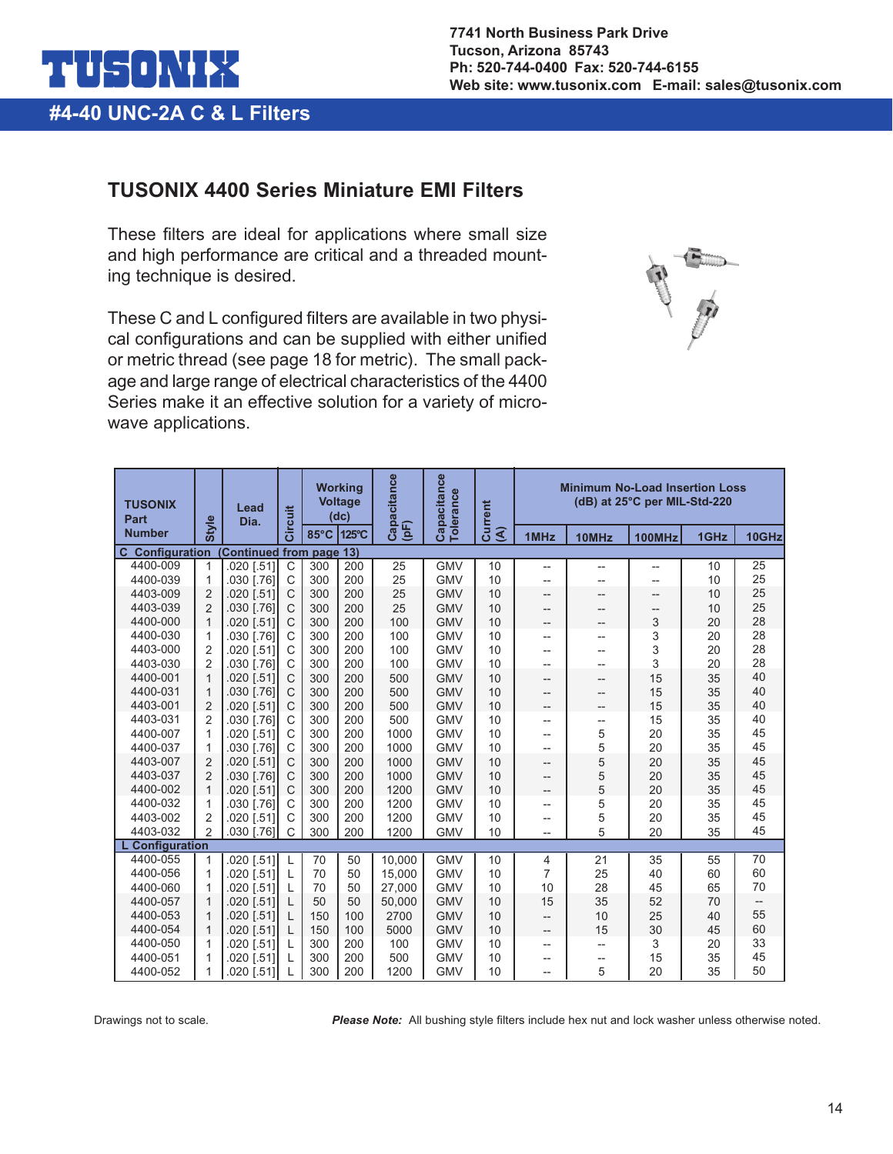

#### **TUSONIX 4400 Series Miniature EMI Filters**

These filters are ideal for applications where small size and high performance are critical and a threaded mounting technique is desired.

These C and L configured filters are available in two physical configurations and can be supplied with either unified or metric thread (see page 18 for metric). The small package and large range of electrical characteristics of the 4400 Series make it an effective solution for a variety of microwave applications.



| <b>TUSONIX</b><br>Part     |                | Lead<br>Dia.               | Circuit      |      | <b>Working</b><br><b>Voltage</b><br>(dc) | Capacitance | Capacitance<br><b>Tolerance</b> | Current  | <b>Minimum No-Load Insertion Loss</b><br>(dB) at 25°C per MIL-Std-220 |       |               |      |       |
|----------------------------|----------------|----------------------------|--------------|------|------------------------------------------|-------------|---------------------------------|----------|-----------------------------------------------------------------------|-------|---------------|------|-------|
| <b>Number</b>              | <b>Style</b>   |                            |              | 85°C | 125°C                                    | (pF)        |                                 | <u>a</u> | 1MHz                                                                  | 10MHz | <b>100MHz</b> | 1GHz | 10GHz |
| <b>Configuration</b><br>C. |                | <b>Continued from page</b> |              |      | 13)                                      |             |                                 |          |                                                                       |       |               |      |       |
| 4400-009                   | $\mathbf 1$    | 020 [.51]                  | $\mathsf{C}$ | 300  | 200                                      | 25          | <b>GMV</b>                      | 10       | --                                                                    | --    | --            | 10   | 25    |
| 4400-039                   | 1              | .030 [.76]                 | $\mathsf{C}$ | 300  | 200                                      | 25          | <b>GMV</b>                      | 10       | --                                                                    | --    | --            | 10   | 25    |
| 4403-009                   | $\overline{2}$ | .020 [.51]                 | $\mathsf{C}$ | 300  | 200                                      | 25          | <b>GMV</b>                      | 10       | $-$                                                                   | --    | --            | 10   | 25    |
| 4403-039                   | $\overline{2}$ | 030 [.76]                  | $\mathsf{C}$ | 300  | 200                                      | 25          | <b>GMV</b>                      | 10       | $-$                                                                   | --    | --            | 10   | 25    |
| 4400-000                   | $\mathbf{1}$   | .020 [.51]                 | $\mathsf{C}$ | 300  | 200                                      | 100         | <b>GMV</b>                      | 10       | --                                                                    | --    | 3             | 20   | 28    |
| 4400-030                   | $\mathbf{1}$   | 030 [.76]                  | $\mathsf{C}$ | 300  | 200                                      | 100         | <b>GMV</b>                      | 10       | $-$                                                                   | --    | 3             | 20   | 28    |
| 4403-000                   | $\overline{2}$ | .020 [.51]                 | $\mathsf{C}$ | 300  | 200                                      | 100         | <b>GMV</b>                      | 10       | $-$                                                                   | --    | 3             | 20   | 28    |
| 4403-030                   | $\overline{2}$ | 030 [.76]                  | $\mathsf{C}$ | 300  | 200                                      | 100         | <b>GMV</b>                      | 10       | $-$                                                                   | --    | 3             | 20   | 28    |
| 4400-001                   | $\mathbf{1}$   | .020 [.51]                 | $\mathsf{C}$ | 300  | 200                                      | 500         | <b>GMV</b>                      | 10       | --                                                                    | --    | 15            | 35   | 40    |
| 4400-031                   | $\overline{1}$ | .030 [.76]                 | $\mathsf{C}$ | 300  | 200                                      | 500         | <b>GMV</b>                      | 10       | $-$                                                                   | --    | 15            | 35   | 40    |
| 4403-001                   | $\overline{2}$ | .020 [.51]                 | $\mathsf{C}$ | 300  | 200                                      | 500         | <b>GMV</b>                      | 10       | $-$                                                                   | --    | 15            | 35   | 40    |
| 4403-031                   | $\overline{2}$ | .030 [.76]                 | $\mathsf{C}$ | 300  | 200                                      | 500         | <b>GMV</b>                      | 10       | $-$                                                                   | --    | 15            | 35   | 40    |
| 4400-007                   | 1              | 020 [.51]                  | C            | 300  | 200                                      | 1000        | <b>GMV</b>                      | 10       | --                                                                    | 5     | 20            | 35   | 45    |
| 4400-037                   | 1              | .030 [.76]                 | $\mathsf{C}$ | 300  | 200                                      | 1000        | <b>GMV</b>                      | 10       | $-$                                                                   | 5     | 20            | 35   | 45    |
| 4403-007                   | $\overline{2}$ | .020 [.51]                 | $\mathsf{C}$ | 300  | 200                                      | 1000        | <b>GMV</b>                      | 10       | $-$                                                                   | 5     | 20            | 35   | 45    |
| 4403-037                   | $\overline{2}$ | .030 [.76]                 | $\mathsf{C}$ | 300  | 200                                      | 1000        | <b>GMV</b>                      | 10       | $-$                                                                   | 5     | 20            | 35   | 45    |
| 4400-002                   | $\mathbf{1}$   | .020 [.51]                 | $\mathsf{C}$ | 300  | 200                                      | 1200        | <b>GMV</b>                      | 10       | $-$                                                                   | 5     | 20            | 35   | 45    |
| 4400-032                   | 1              | 030 [.76]                  | $\mathsf{C}$ | 300  | 200                                      | 1200        | <b>GMV</b>                      | 10       | $-$                                                                   | 5     | 20            | 35   | 45    |
| 4403-002                   | $\overline{2}$ | .020 [.51]                 | C            | 300  | 200                                      | 1200        | <b>GMV</b>                      | 10       | $-$                                                                   | 5     | 20            | 35   | 45    |
| 4403-032                   | $\overline{2}$ | 030 [.76]                  | C            | 300  | 200                                      | 1200        | <b>GMV</b>                      | 10       | --                                                                    | 5     | 20            | 35   | 45    |
| <b>L</b> Configuration     |                |                            |              |      |                                          |             |                                 |          |                                                                       |       |               |      |       |
| 4400-055                   | 1              | 020 [.51]                  | L            | 70   | 50                                       | 10.000      | <b>GMV</b>                      | 10       | 4                                                                     | 21    | 35            | 55   | 70    |
| 4400-056                   | 1              | 020 [.51]                  | L            | 70   | 50                                       | 15,000      | <b>GMV</b>                      | 10       | 7                                                                     | 25    | 40            | 60   | 60    |
| 4400-060                   | $\mathbf 1$    | 020 [.51]                  | L            | 70   | 50                                       | 27,000      | <b>GMV</b>                      | 10       | 10                                                                    | 28    | 45            | 65   | 70    |
| 4400-057                   | $\mathbf 1$    | .020 [.51]                 | $\mathbf{L}$ | 50   | 50                                       | 50,000      | <b>GMV</b>                      | 10       | 15                                                                    | 35    | 52            | 70   | --    |
| 4400-053                   | $\overline{1}$ | .020 [.51]                 | L            | 150  | 100                                      | 2700        | <b>GMV</b>                      | 10       | $\qquad \qquad -$                                                     | 10    | 25            | 40   | 55    |
| 4400-054                   | $\mathbf 1$    | .020 [.51]                 |              | 150  | 100                                      | 5000        | <b>GMV</b>                      | 10       | $-$                                                                   | 15    | 30            | 45   | 60    |
| 4400-050                   | 1              | 020 [.51]                  | L            | 300  | 200                                      | 100         | <b>GMV</b>                      | 10       | $-$                                                                   | --    | 3             | 20   | 33    |
| 4400-051                   | 1              | 020 [.51]                  |              | 300  | 200                                      | 500         | <b>GMV</b>                      | 10       | $-$                                                                   | --    | 15            | 35   | 45    |
| 4400-052                   | 1              | .020 [.51]                 |              | 300  | 200                                      | 1200        | <b>GMV</b>                      | 10       | $-$                                                                   | 5     | 20            | 35   | 50    |

Drawings not to scale. *Please Note:* All bushing style filters include hex nut and lock washer unless otherwise noted.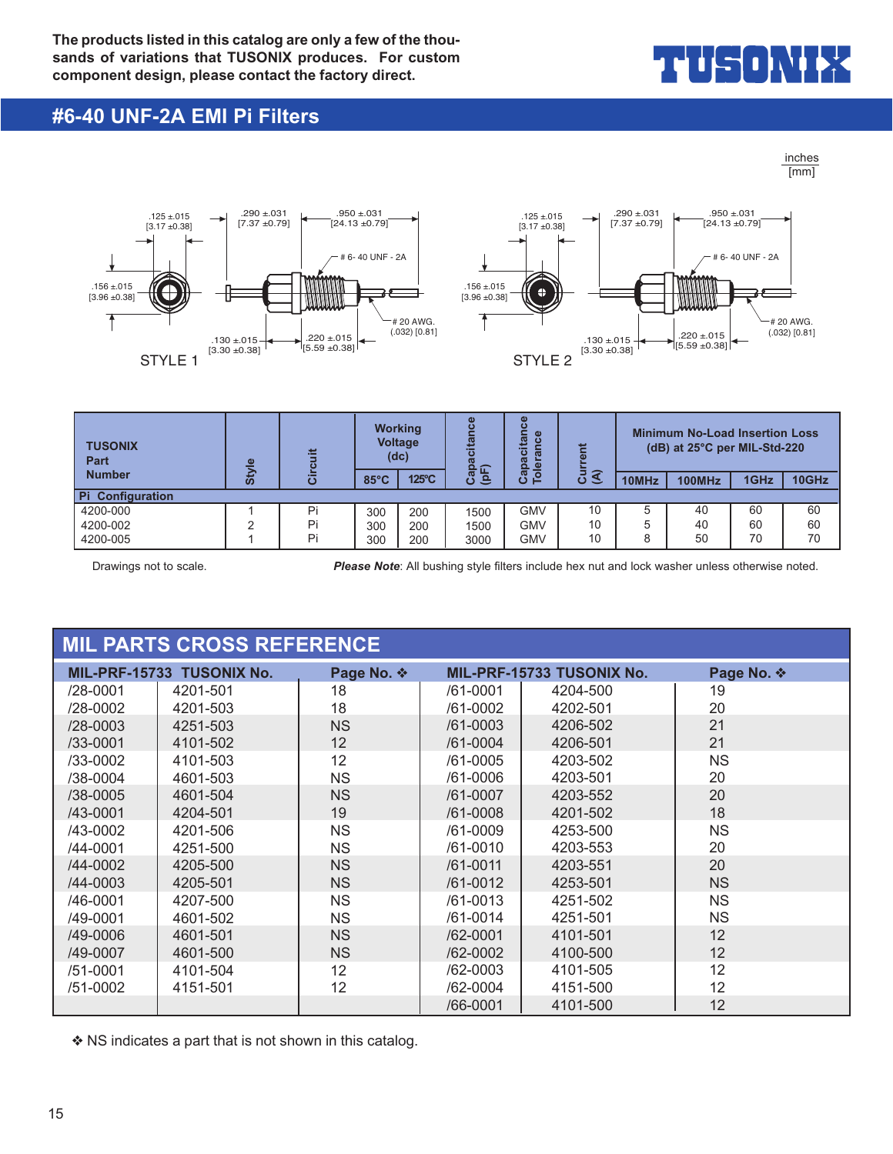

#### **#6-40 UNF-2A EMI Pi Filters**

inches [mm]



| <b>TUSONIX</b><br>Part  | $\omega$ | ≝        |                | <b>Working</b><br><b>Voltage</b><br>(dc) | $\omega$<br>citan     | $\omega$<br>ō<br>显<br>≔<br>$\mathbf{\sigma}$<br>ω<br>흐 | ≝                                |       | <b>Minimum No-Load Insertion Loss</b><br>(dB) at 25°C per MIL-Std-220 |      |       |
|-------------------------|----------|----------|----------------|------------------------------------------|-----------------------|--------------------------------------------------------|----------------------------------|-------|-----------------------------------------------------------------------|------|-------|
| <b>Number</b>           | ທັ       | <u>ۃ</u> | $85^{\circ}$ C | 125°C                                    | က်<br>(ချင်<br>ത<br>ت | <b>S</b><br>$\circ$<br>е                               | 5<br>$\widehat{\mathbf{S}}$<br>ပ | 10MHz | <b>100MHz</b>                                                         | 1GHz | 10GHz |
| <b>Pi</b> Configuration |          |          |                |                                          |                       |                                                        |                                  |       |                                                                       |      |       |
| 4200-000                |          | Pi       | 300            | 200                                      | 1500                  | GMV                                                    | 10                               | 5     | 40                                                                    | 60   | 60    |
| 4200-002                | ◠        | Pi       | 300            | 200                                      | 1500                  | GMV                                                    | 10                               | 5     | 40                                                                    | 60   | 60    |
| 4200-005                |          | Pi       | 300            | 200                                      | 3000                  | GMV                                                    | 10                               | 8     | 50                                                                    | 70   | 70    |

Drawings not to scale. *Please Note*: All bushing style filters include hex nut and lock washer unless otherwise noted.

|              | <b>MIL PARTS CROSS REFERENCE</b> |            |              |                           |            |
|--------------|----------------------------------|------------|--------------|---------------------------|------------|
|              | MIL-PRF-15733 TUSONIX No.        | Page No. ❖ |              | MIL-PRF-15733 TUSONIX No. | Page No. ❖ |
| /28-0001     | 4201-501                         | 18         | /61-0001     | 4204-500                  | 19         |
| $/28 - 0002$ | 4201-503                         | 18         | /61-0002     | 4202-501                  | 20         |
| $/28 - 0003$ | 4251-503                         | <b>NS</b>  | $/61 - 0003$ | 4206-502                  | 21         |
| $/33 - 0001$ | 4101-502                         | 12         | /61-0004     | 4206-501                  | 21         |
| /33-0002     | 4101-503                         | 12         | /61-0005     | 4203-502                  | <b>NS</b>  |
| /38-0004     | 4601-503                         | <b>NS</b>  | /61-0006     | 4203-501                  | 20         |
| $/38 - 0005$ | 4601-504                         | <b>NS</b>  | /61-0007     | 4203-552                  | 20         |
| /43-0001     | 4204-501                         | 19         | /61-0008     | 4201-502                  | 18         |
| /43-0002     | 4201-506                         | <b>NS</b>  | /61-0009     | 4253-500                  | <b>NS</b>  |
| /44-0001     | 4251-500                         | <b>NS</b>  | /61-0010     | 4203-553                  | 20         |
| /44-0002     | 4205-500                         | <b>NS</b>  | $/61 - 0011$ | 4203-551                  | 20         |
| /44-0003     | 4205-501                         | <b>NS</b>  | /61-0012     | 4253-501                  | <b>NS</b>  |
| /46-0001     | 4207-500                         | <b>NS</b>  | $/61 - 0013$ | 4251-502                  | <b>NS</b>  |
| /49-0001     | 4601-502                         | <b>NS</b>  | /61-0014     | 4251-501                  | <b>NS</b>  |
| /49-0006     | 4601-501                         | <b>NS</b>  | $/62 - 0001$ | 4101-501                  | 12         |
| /49-0007     | 4601-500                         | <b>NS</b>  | /62-0002     | 4100-500                  | 12         |
| /51-0001     | 4101-504                         | 12         | /62-0003     | 4101-505                  | 12         |
| /51-0002     | 4151-501                         | 12         | /62-0004     | 4151-500                  | 12         |
|              |                                  |            | /66-0001     | 4101-500                  | 12         |

❖ NS indicates a part that is not shown in this catalog.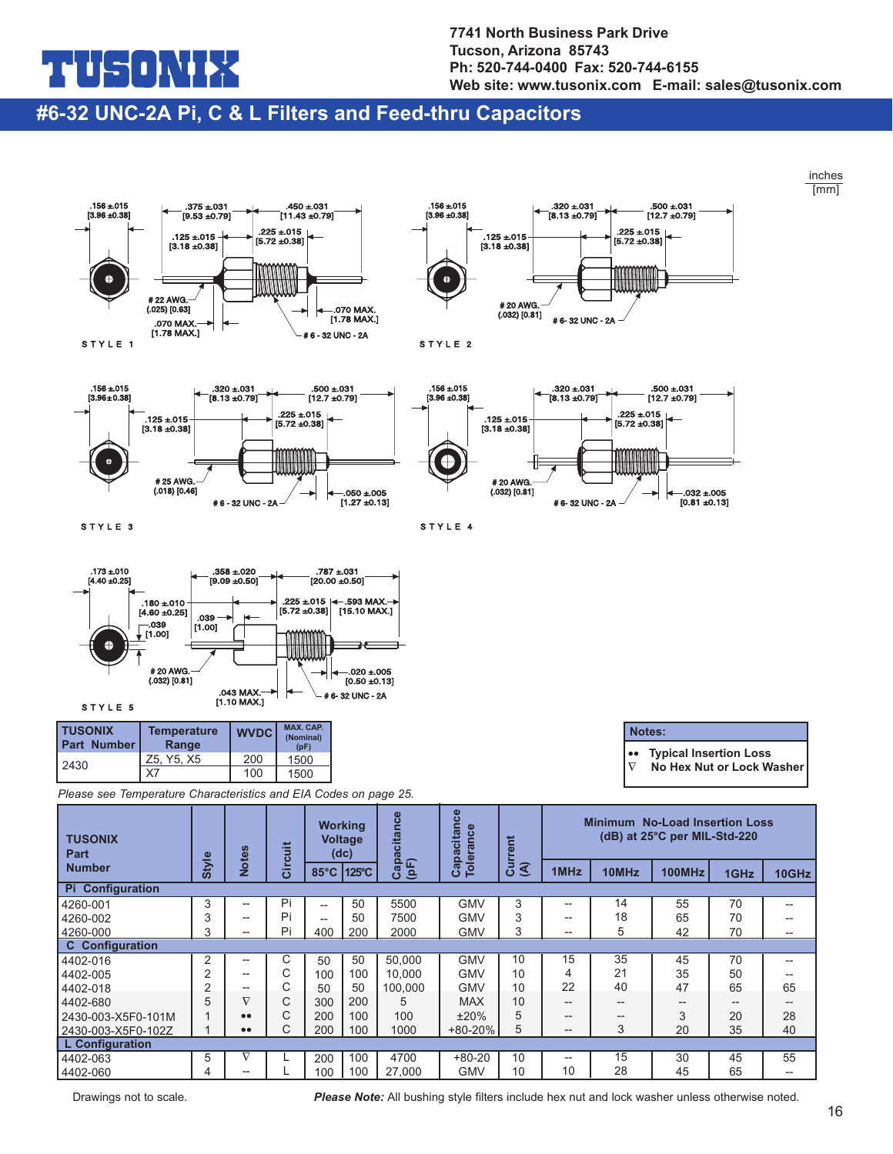## ╶┑╸╽╲╽

**7741 North Business Park Drive Tucson, Arizona 85743 Ph: 520-744-0400 Fax: 520-744-6155 Web site: www.tusonix.com E-mail: sales@tusonix.com**

#### **#6-32 UNC-2A Pi, C & L Filters and Feed-thru Capacitors**



--

Drawings not to scale. *Please Note:* All bushing style filters include hex nut and lock washer unless otherwise noted.

--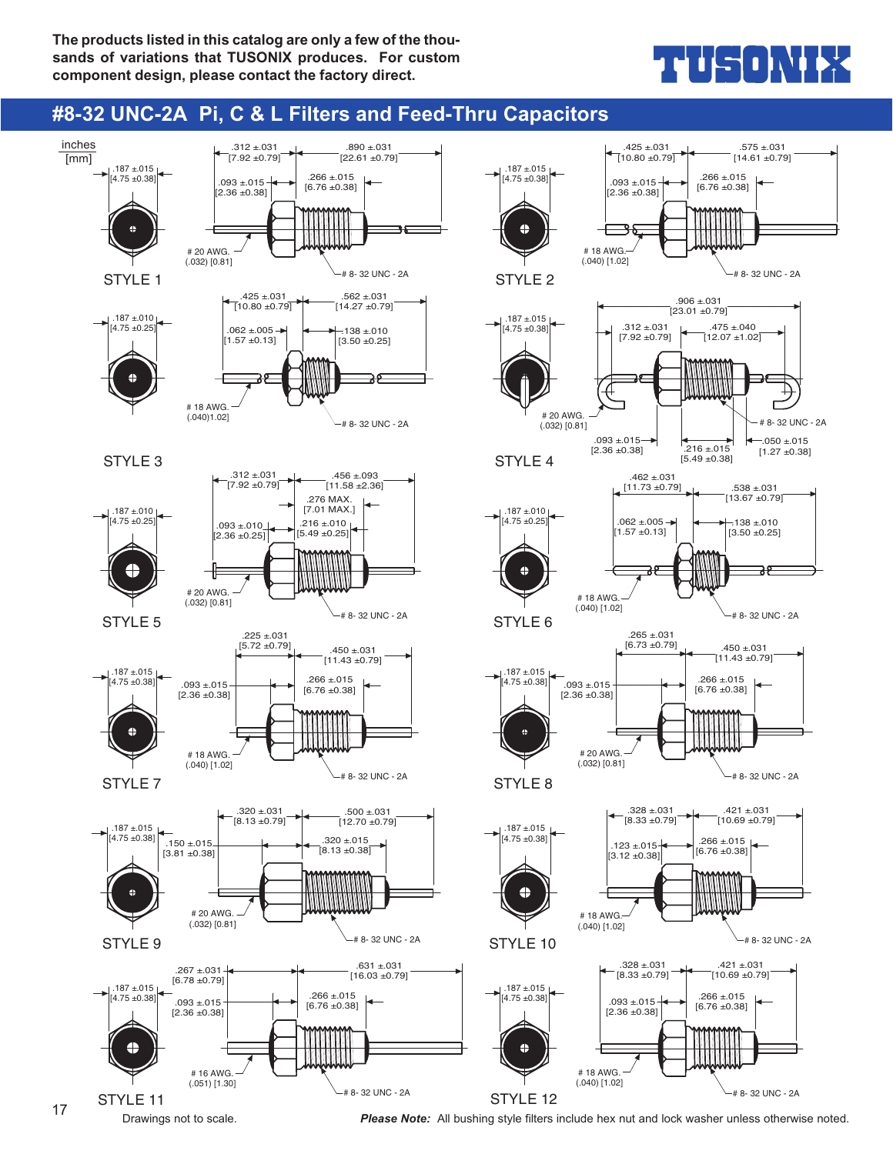## ╻┪╽┝╤┨╻╽╲╽┢┋┥

### **#8-32 UNC-2A Pi, C & L Filters and Feed-Thru Capacitors**



Drawings not to scale. *Please Note:* All bushing style filters include hex nut and lock washer unless otherwise noted. <sup>17</sup>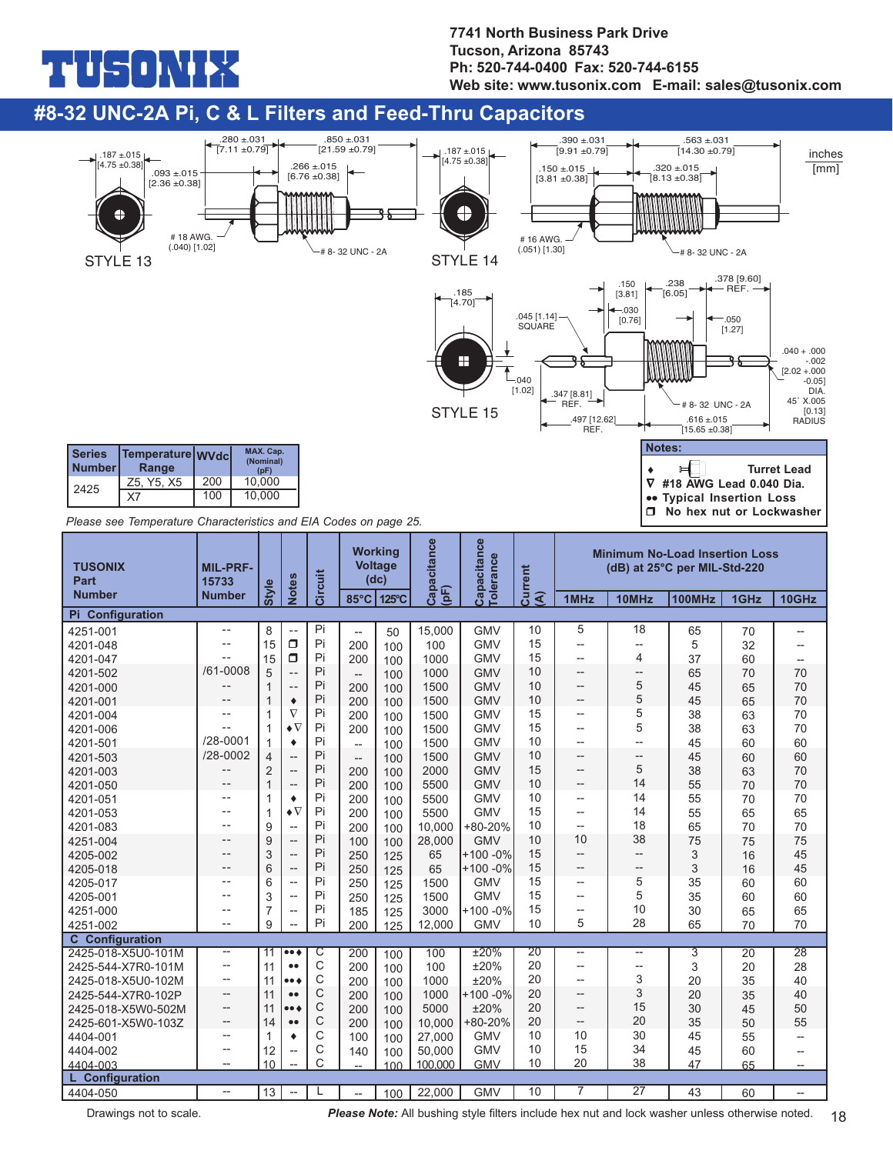## コリウ

#### **7741 North Business Park Drive Tucson, Arizona 85743 Ph: 520-744-0400 Fax: 520-744-6155 Web site: www.tusonix.com E-mail: sales@tusonix.com**

#### **#8-32 UNC-2A Pi, C & L Filters and Feed-Thru Capacitors**



Drawings not to scale. *Please Note:* All bushing style filters include hex nut and lock washer unless otherwise noted. 18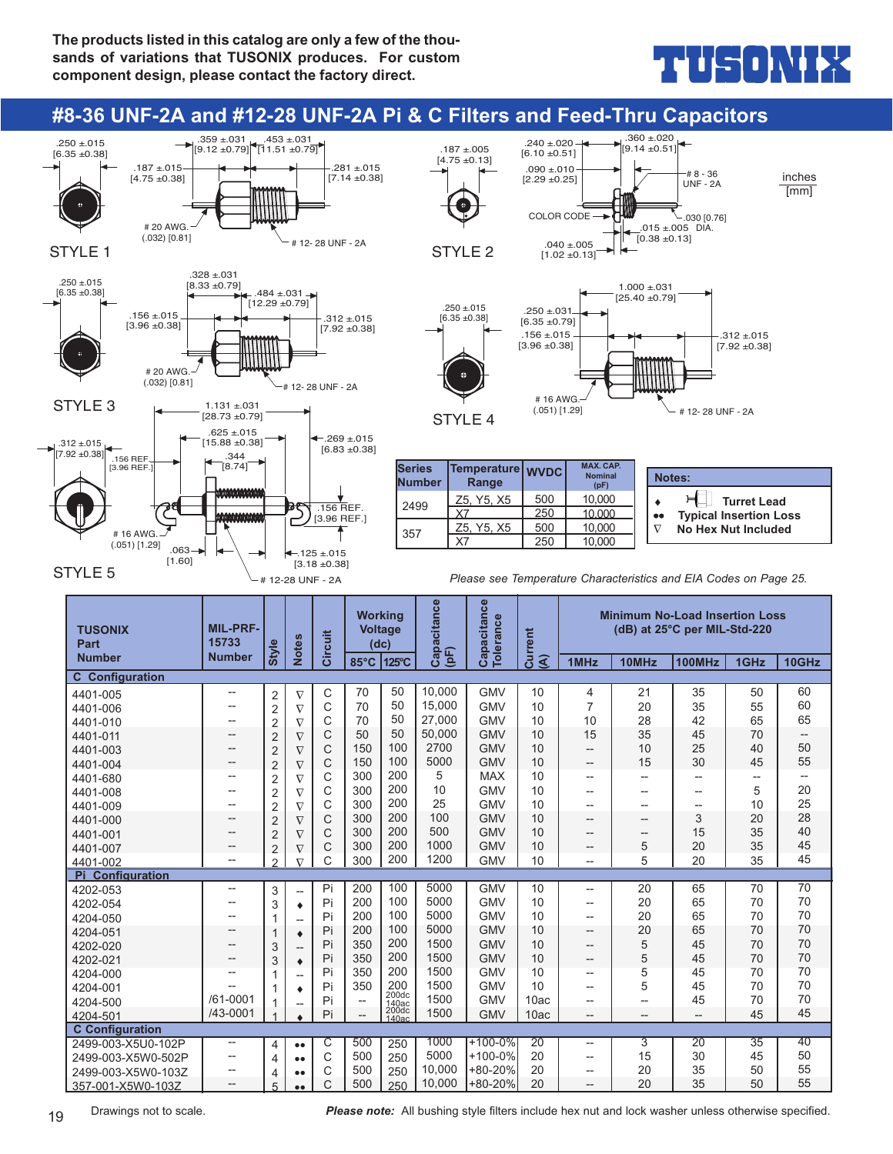## THUS ONIEZ

#### **#8-36 UNF-2A and #12-28 UNF-2A Pi & C Filters and Feed-Thru Capacitors**



19 Drawings not to scale. **Please note:** All bushing style filters include hex nut and lock washer unless otherwise specified.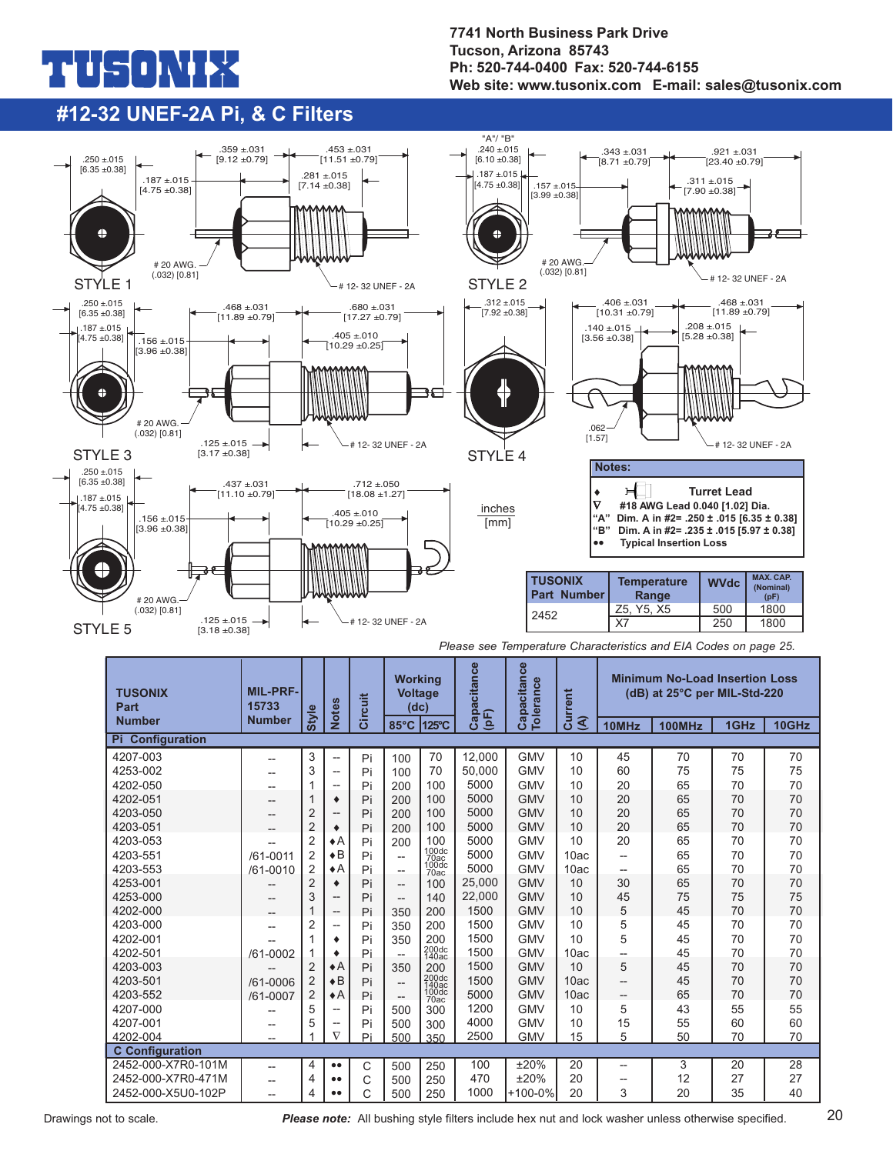# ñ

#### **7741 North Business Park Drive Tucson, Arizona 85743 Ph: 520-744-0400 Fax: 520-744-6155 Web site: www.tusonix.com E-mail: sales@tusonix.com**

### **#12-32 UNEF-2A Pi, & C Filters**



|  |  | Please see Temperature Characteristics and EIA Codes on page 25. |  |  |  |  |
|--|--|------------------------------------------------------------------|--|--|--|--|
|--|--|------------------------------------------------------------------|--|--|--|--|

| <b>TUSONIX</b><br>Part  | <b>MIL-PRF-</b><br>15733 | Style          | <b>Notes</b>             | Circuit | <b>Working</b><br><b>Voltage</b><br>(dc) |                | Capacitance | Capacitance<br><b>Tolerance</b> | Current        |       | <b>Minimum No-Load Insertion Loss</b><br>(dB) at 25°C per MIL-Std-220 |      |       |
|-------------------------|--------------------------|----------------|--------------------------|---------|------------------------------------------|----------------|-------------|---------------------------------|----------------|-------|-----------------------------------------------------------------------|------|-------|
| <b>Number</b>           | <b>Number</b>            |                |                          |         | 85°C                                     | 125°C          | $($ pF $)$  |                                 | $\mathfrak{F}$ | 10MHz | 100MHz                                                                | 1GHz | 10GHz |
| <b>Pi</b> Configuration |                          |                |                          |         |                                          |                |             |                                 |                |       |                                                                       |      |       |
| 4207-003                | --                       | 3              | $\overline{\phantom{a}}$ | Pi      | 100                                      | 70             | 12.000      | <b>GMV</b>                      | 10             | 45    | 70                                                                    | 70   | 70    |
| 4253-002                | --                       | 3              | $\overline{a}$           | Pi      | 100                                      | 70             | 50.000      | <b>GMV</b>                      | 10             | 60    | 75                                                                    | 75   | 75    |
| 4202-050                |                          |                | $\overline{a}$           | Pi      | 200                                      | 100            | 5000        | <b>GMV</b>                      | 10             | 20    | 65                                                                    | 70   | 70    |
| 4202-051                | --                       |                | ٠                        | Pi      | 200                                      | 100            | 5000        | <b>GMV</b>                      | 10             | 20    | 65                                                                    | 70   | 70    |
| 4203-050                |                          | 2              | --                       | Pi      | 200                                      | 100            | 5000        | <b>GMV</b>                      | 10             | 20    | 65                                                                    | 70   | 70    |
| 4203-051                | --                       | $\overline{2}$ | ٠                        | Pi      | 200                                      | 100            | 5000        | <b>GMV</b>                      | 10             | 20    | 65                                                                    | 70   | 70    |
| 4203-053                | --                       | 2              | $\bullet$ A              | Pi      | 200                                      | 100<br>100dc   | 5000        | <b>GMV</b>                      | 10             | 20    | 65                                                                    | 70   | 70    |
| 4203-551                | /61-0011                 | $\overline{2}$ | $\bullet$ B              | Pi      | $\overline{\phantom{a}}$                 | 70ac<br>100dc  | 5000        | <b>GMV</b>                      | 10ac           | --    | 65                                                                    | 70   | 70    |
| 4203-553                | /61-0010                 | 2              | $\bullet$ A              | Pi      | $\overline{\phantom{a}}$                 | 70ac           | 5000        | <b>GMV</b>                      | 10ac           | --    | 65                                                                    | 70   | 70    |
| 4253-001                |                          | $\overline{2}$ | ۰                        | Pi      | $\qquad \qquad -$                        | 100            | 25,000      | <b>GMV</b>                      | 10             | 30    | 65                                                                    | 70   | 70    |
| 4253-000                | --                       | 3              | --                       | Pi      | $\qquad \qquad -$                        | 140            | 22,000      | <b>GMV</b>                      | 10             | 45    | 75                                                                    | 75   | 75    |
| 4202-000                |                          |                | --                       | Pi      | 350                                      | 200            | 1500        | <b>GMV</b>                      | 10             | 5     | 45                                                                    | 70   | 70    |
| 4203-000                | --                       | 2              | $\overline{a}$           | Pi      | 350                                      | 200            | 1500        | <b>GMV</b>                      | 10             | 5     | 45                                                                    | 70   | 70    |
| 4202-001                |                          | 1              | ٠                        | Pi      | 350                                      | 200<br>200dc   | 1500        | <b>GMV</b>                      | 10             | 5     | 45                                                                    | 70   | 70    |
| 4202-501                | /61-0002                 |                | ٠                        | Pi      |                                          | 140ac          | 1500        | <b>GMV</b>                      | 10ac           | --    | 45                                                                    | 70   | 70    |
| 4203-003                |                          | $\overline{2}$ | $\bullet$ A              | Pi      | 350                                      | 200<br>200dc   | 1500        | <b>GMV</b>                      | 10             | 5     | 45                                                                    | 70   | 70    |
| 4203-501                | /61-0006                 | $\overline{2}$ | $\bullet$ B              | Pi      | $\qquad \qquad -$                        | 140ac<br>100dc | 1500        | <b>GMV</b>                      | 10ac           | --    | 45                                                                    | 70   | 70    |
| 4203-552                | /61-0007                 | 2              | $\bullet$ A              | Pi      | $\hspace{0.05cm} \ldots$                 | 70ac           | 5000        | <b>GMV</b>                      | 10ac           | $-\!$ | 65                                                                    | 70   | 70    |
| 4207-000                |                          | 5              | --                       | Pi      | 500                                      | 300            | 1200        | <b>GMV</b>                      | 10             | 5     | 43                                                                    | 55   | 55    |
| 4207-001                | --                       | 5              | --                       | Pi      | 500                                      | 300            | 4000        | <b>GMV</b>                      | 10             | 15    | 55                                                                    | 60   | 60    |
| 4202-004                | --                       |                | $\nabla$                 | Pi      | 500                                      | 350            | 2500        | <b>GMV</b>                      | 15             | 5     | 50                                                                    | 70   | 70    |
| <b>C</b> Configuration  |                          |                |                          |         |                                          |                |             |                                 |                |       |                                                                       |      |       |
| 2452-000-X7R0-101M      | --                       | 4              | $\bullet\bullet$         | C       | 500                                      | 250            | 100         | ±20%                            | 20             | $-$   | 3                                                                     | 20   | 28    |
| 2452-000-X7R0-471M      | --                       | 4              | $\bullet\bullet$         | C       | 500                                      | 250            | 470         | ±20%                            | 20             | $-$   | 12                                                                    | 27   | 27    |
| 2452-000-X5U0-102P      | $\overline{a}$           | 4              |                          | Ć       | 500                                      | 250            | 1000        | $+100-0%$                       | 20             | 3     | 20                                                                    | 35   | 40    |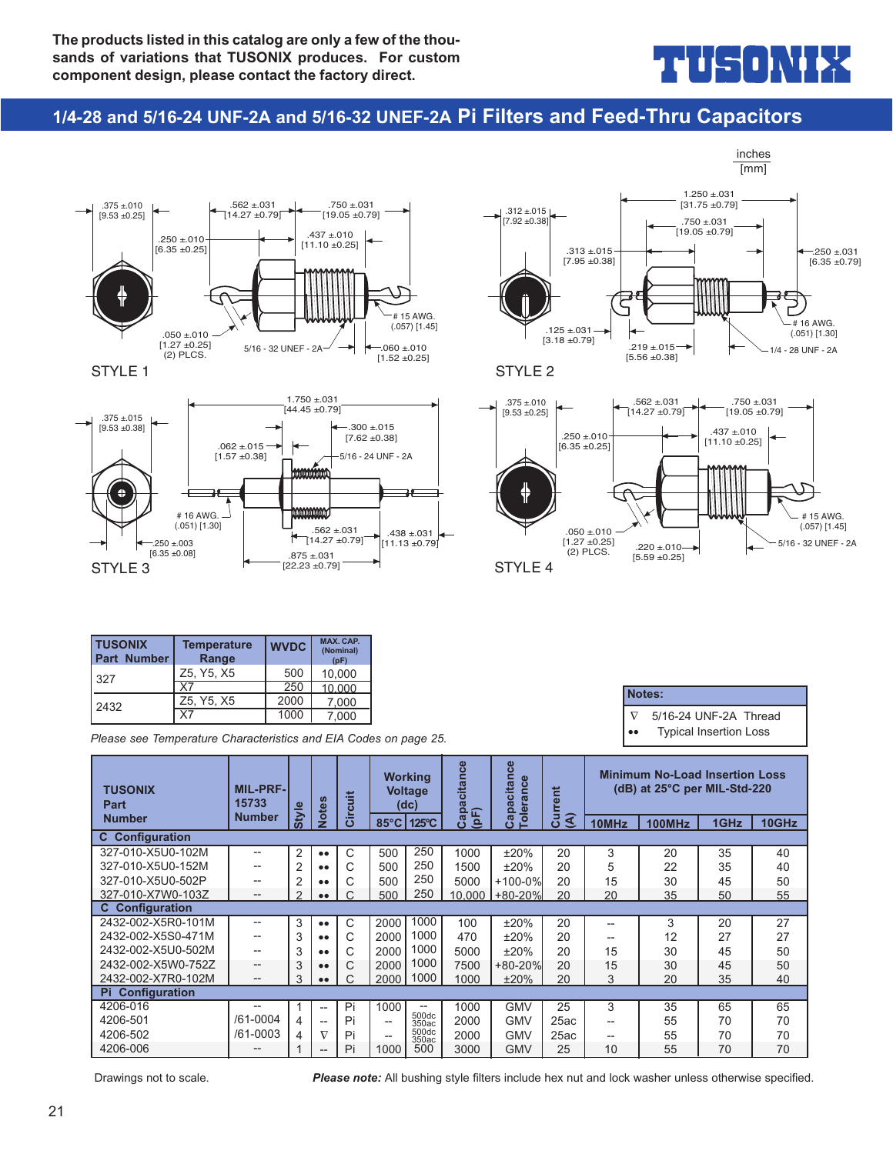## $\frac{1}{2}$   $\frac{1}{2}$   $\frac{1}{2}$

inches

### **1/4-28 and 5/16-24 UNF-2A and 5/16-32 UNEF-2A Pi Filters and Feed-Thru Capacitors**









**Notes:**

∇5/16-24 UNF-2A Thread •• Typical Insertion Loss

| <b>TUSONIX</b><br><b>Part Number</b> | <b>Temperature</b><br>Range | <b>WVDC</b> | <b>MAX. CAP.</b><br>(Nominal)<br>(pF) |
|--------------------------------------|-----------------------------|-------------|---------------------------------------|
| 327                                  | Z5, Y5, X5                  | 500         | 10.000                                |
|                                      | X7                          | 250         | 10.000                                |
| 2432                                 | Z5, Y5, X5                  | 2000        | 7.000                                 |
|                                      | X7                          | 1000        | 7.000                                 |

*Please see Temperature Characteristics and EIA Codes on page 25.*

| <b>TUSONIX</b><br>Part  | <b>MIL-PRF-</b><br>15733 | <b>Style</b>   | Notes            | Circuit |                | <b>Working</b><br><b>Voltage</b><br>(dc) | apacitance      | Capacitance<br><b>Tolerance</b> | urrent                                   |       | <b>Minimum No-Load Insertion Loss</b><br>(dB) at 25°C per MIL-Std-220 |      |       |
|-------------------------|--------------------------|----------------|------------------|---------|----------------|------------------------------------------|-----------------|---------------------------------|------------------------------------------|-------|-----------------------------------------------------------------------|------|-------|
| <b>Number</b>           | <b>Number</b>            |                |                  |         | $85^{\circ}$ C | 125°C                                    | $($ pF $)$<br>ن |                                 | $\widehat{\mathbf{A}}$<br>$\overline{c}$ | 10MHz | <b>100MHz</b>                                                         | 1GHz | 10GHz |
| <b>C</b> Configuration  |                          |                |                  |         |                |                                          |                 |                                 |                                          |       |                                                                       |      |       |
| 327-010-X5U0-102M       | --                       | $\overline{2}$ | $\bullet\bullet$ | C       | 500            | 250                                      | 1000            | ±20%                            | 20                                       | 3     | 20                                                                    | 35   | 40    |
| 327-010-X5U0-152M       | --                       | $\overline{2}$ | $\bullet\bullet$ | С       | 500            | 250                                      | 1500            | ±20%                            | 20                                       | 5     | 22                                                                    | 35   | 40    |
| 327-010-X5U0-502P       | --                       | $\overline{2}$ | $\bullet\bullet$ | U       | 500            | 250                                      | 5000            | $+100-0%$                       | 20                                       | 15    | 30                                                                    | 45   | 50    |
| 327-010-X7W0-103Z       | --                       | C              | $\bullet\bullet$ |         | 500            | 250                                      | 10,000          | $+80-20%$                       | 20                                       | 20    | 35                                                                    | 50   | 55    |
| <b>C</b> Configuration  |                          |                |                  |         |                |                                          |                 |                                 |                                          |       |                                                                       |      |       |
| 2432-002-X5R0-101M      | --                       | 3              | $\bullet\bullet$ | C       | 2000           | 1000                                     | 100             | ±20%                            | 20                                       | --    | 3                                                                     | 20   | 27    |
| 2432-002-X5S0-471M      | --                       | 3              | $\bullet\bullet$ | С       | 2000           | 1000                                     | 470             | ±20%                            | 20                                       | --    | 12                                                                    | 27   | 27    |
| 2432-002-X5U0-502M      | --                       | 3              | $\bullet\bullet$ | С       | 2000           | 1000                                     | 5000            | ±20%                            | 20                                       | 15    | 30                                                                    | 45   | 50    |
| 2432-002-X5W0-752Z      | --                       | 3              | $\bullet\bullet$ | C.      | 2000           | 1000                                     | 7500            | $+80 - 20%$                     | 20                                       | 15    | 30                                                                    | 45   | 50    |
| 2432-002-X7R0-102M      | $\qquad \qquad -$        | 3              | $\bullet\bullet$ |         | 2000           | 1000                                     | 1000            | ±20%                            | 20                                       | 3     | 20                                                                    | 35   | 40    |
| <b>Pi</b> Configuration |                          |                |                  |         |                |                                          |                 |                                 |                                          |       |                                                                       |      |       |
| 4206-016                | --                       |                | --               | Pi      | 1000           | --                                       | 1000            | <b>GMV</b>                      | 25                                       | 3     | 35                                                                    | 65   | 65    |
| 4206-501                | /61-0004                 | 4              | $\overline{a}$   | Pi      | --             | 500dc<br>350ac                           | 2000            | <b>GMV</b>                      | 25ac                                     | --    | 55                                                                    | 70   | 70    |
| 4206-502                | /61-0003                 | 4              | $\nabla$         | Pi      | --             | 500dc<br>350ac                           | 2000            | <b>GMV</b>                      | 25ac                                     | --    | 55                                                                    | 70   | 70    |
| 4206-006                | --                       |                | --               | Pi      | 1000           | 500                                      | 3000            | <b>GMV</b>                      | 25                                       | 10    | 55                                                                    | 70   | 70    |

Drawings not to scale. *Please note:* All bushing style filters include hex nut and lock washer unless otherwise specified.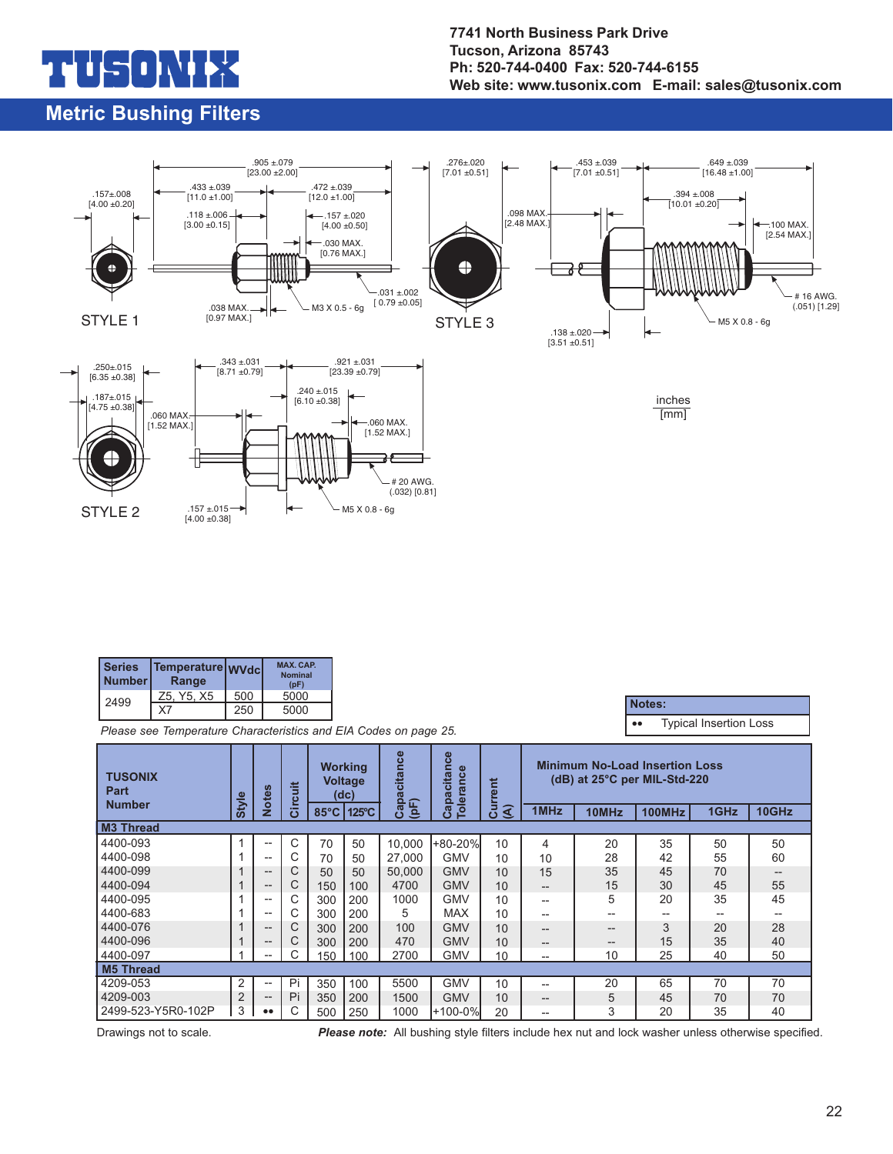# n h

### **Metric Bushing Filters**

#### **7741 North Business Park Drive Tucson, Arizona 85743 Ph: 520-744-0400 Fax: 520-744-6155 Web site: www.tusonix.com E-mail: sales@tusonix.com**



| <b>Series</b><br><b>Number</b> | Temperature WVdcl<br>Range |     | <b>MAX. CAP.</b><br><b>Nominal</b><br>(pF) |
|--------------------------------|----------------------------|-----|--------------------------------------------|
| 2499                           | Z5. Y5. X5                 | 500 | 5000                                       |
|                                | Χ7                         | 250 | 5000                                       |

*Please see Temperature Characteristics and EIA Codes on page 25.*

•• Typical Insertion Loss **Notes:**

| <b>TUSONIX</b><br>Part |                | <b>Notes</b>                                        | 吉    |                | <b>Working</b><br><b>Voltage</b><br>(dc) | pacitance | <b>es</b><br>Capacitan<br><b>Tolerance</b> | <b>Minimum No-Load Insertion Loss</b><br>(dB) at 25°C per MIL-Std-220<br>Current |       |       |        |      |       |
|------------------------|----------------|-----------------------------------------------------|------|----------------|------------------------------------------|-----------|--------------------------------------------|----------------------------------------------------------------------------------|-------|-------|--------|------|-------|
| <b>Number</b>          | Style          |                                                     | Circ | $85^{\circ}$ C | 125°C                                    | (F)<br>යි |                                            | ্ব                                                                               | 1MHz  | 10MHz | 100MHz | 1GHz | 10GHz |
| M3 Thread              |                |                                                     |      |                |                                          |           |                                            |                                                                                  |       |       |        |      |       |
| 4400-093               |                | $\overline{\phantom{a}}$                            | C    | 70             | 50                                       | 10.000    | +80-20%                                    | 10                                                                               | 4     | 20    | 35     | 50   | 50    |
| 4400-098               |                | $- -$                                               |      | 70             | $50^{\circ}$                             | 27,000    | <b>GMV</b>                                 | 10                                                                               | 10    | 28    | 42     | 55   | 60    |
| 4400-099               |                | $\hspace{0.05cm} -\hspace{0.05cm} -\hspace{0.05cm}$ | C    | 50             | $50^{\circ}$                             | 50.000    | <b>GMV</b>                                 | 10                                                                               | 15    | 35    | 45     | 70   | $- -$ |
| 4400-094               |                | $\hspace{0.05cm} -\hspace{0.05cm} -\hspace{0.05cm}$ | С    | 150            | 100                                      | 4700      | <b>GMV</b>                                 | 10                                                                               | $- -$ | 15    | 30     | 45   | 55    |
| 4400-095               |                | $- -$                                               |      | 300            | 200                                      | 1000      | <b>GMV</b>                                 | 10                                                                               | --    | 5     | 20     | 35   | 45    |
| 4400-683               |                | $-$                                                 | C    | 300            | 200                                      | 5         | <b>MAX</b>                                 | 10                                                                               | $- -$ | --    | --     | --   | --    |
| 4400-076               |                | $\hspace{0.05cm} -\hspace{0.05cm} -\hspace{0.05cm}$ | C    | 300            | 200                                      | 100       | <b>GMV</b>                                 | 10                                                                               | --    | $-$   | 3      | 20   | 28    |
| 4400-096               |                | $\hspace{0.05cm} \bar{}$                            | С    | 300            | 200                                      | 470       | <b>GMV</b>                                 | 10                                                                               | $- -$ | $- -$ | 15     | 35   | 40    |
| 4400-097               |                | $\hspace{0.05cm} \ldots$                            |      | 150            | 100                                      | 2700      | GMV                                        | 10                                                                               | --    | 10    | 25     | 40   | 50    |
| <b>M5 Thread</b>       |                |                                                     |      |                |                                          |           |                                            |                                                                                  |       |       |        |      |       |
| 4209-053               | 2              | $- -$                                               | Pi   | 350            | 100                                      | 5500      | <b>GMV</b>                                 | 10                                                                               | $- -$ | 20    | 65     | 70   | 70    |
| 4209-003               | $\overline{2}$ | $\hspace{0.05cm} -\hspace{0.05cm} -\hspace{0.05cm}$ | Pi   | 350            | 200                                      | 1500      | <b>GMV</b>                                 | 10                                                                               | $- -$ | 5     | 45     | 70   | 70    |
| 2499-523-Y5R0-102P     | 3              | $\bullet\bullet$                                    |      | 500            | 250                                      | 1000      | l+100-0%l                                  | 20                                                                               | --    | 3     | 20     | 35   | 40    |

Drawings not to scale. *Please note:* All bushing style filters include hex nut and lock washer unless otherwise specified.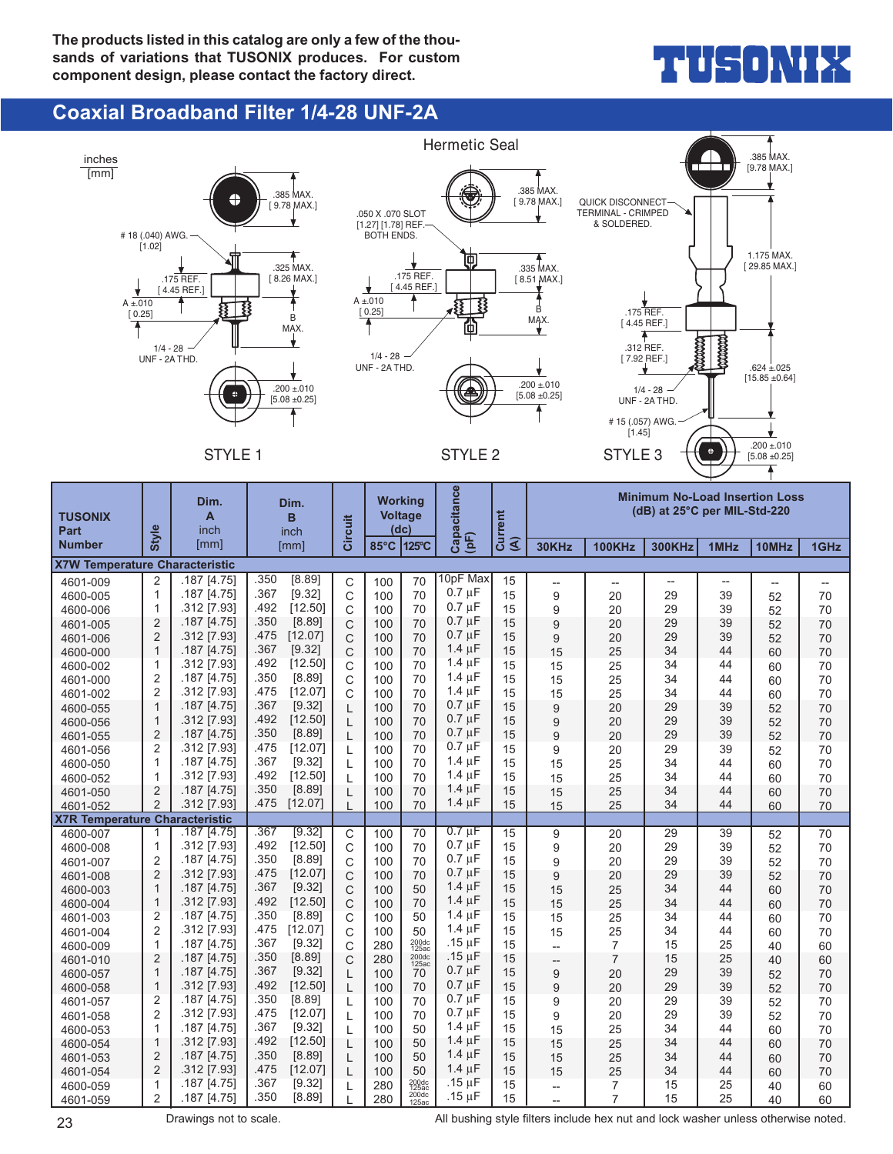

#### **Coaxial Broadband Filter 1/4-28 UNF-2A**



23 **Drawings not to scale.** All bushing style filters include hex nut and lock washer unless otherwise noted.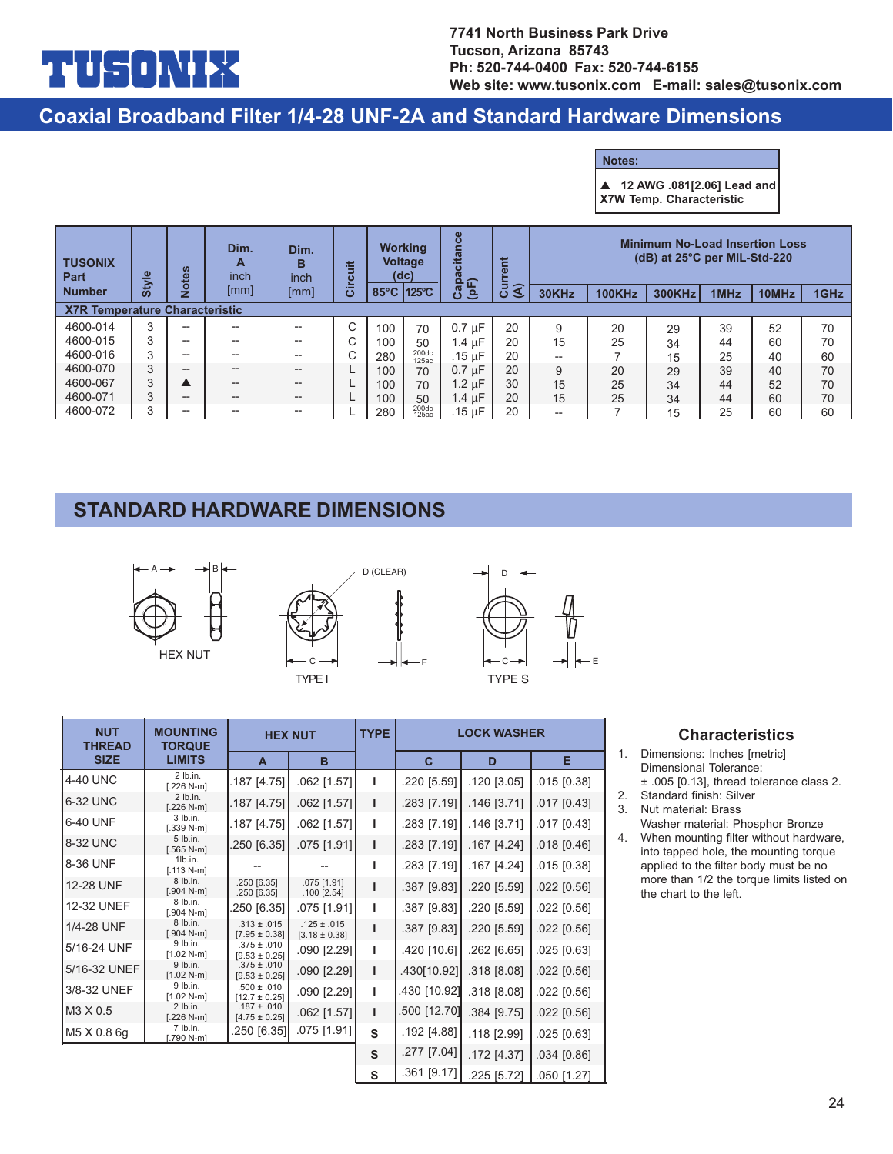## $\mathbf{I}$

#### **Coaxial Broadband Filter 1/4-28 UNF-2A and Standard Hardware Dimensions**

**Notes:**

▲ **12 AWG .081[2.06] Lead and**

**X7W Temp. Characteristic**

| <b>TUSONIX</b><br>Part                | <b>Style</b> | 8             | Dim.<br>A<br>inch      | Dim.<br>в<br>inch | 嵩                 |      | <b>Working</b><br><b>Voltage</b><br>(dc) | $\omega$<br>citan<br>$\Omega$                  | E       | <b>Minimum No-Load Insertion Loss</b><br>(dB) at 25°C per MIL-Std-220 |               |               |      |       |      |
|---------------------------------------|--------------|---------------|------------------------|-------------------|-------------------|------|------------------------------------------|------------------------------------------------|---------|-----------------------------------------------------------------------|---------------|---------------|------|-------|------|
| <b>Number</b>                         |              | $\frac{1}{2}$ | [mm]                   | [mm]              | .=<br>$\mathbf C$ | 85°C | 125°C                                    | (pF)<br>$\overline{\mathbf{a}}$<br>$\mathbf C$ | ্ব<br>ပ | 30KHz                                                                 | <b>100KHz</b> | <b>300KHz</b> | 1MHz | 10MHz | 1GHz |
| <b>X7R Temperature Characteristic</b> |              |               |                        |                   |                   |      |                                          |                                                |         |                                                                       |               |               |      |       |      |
| 4600-014                              | 3            | $- -$         | $-$                    | --                | ⌒                 | 100  | 70                                       | $0.7 \text{ uF}$                               | 20      | 9                                                                     | 20            | 29            | 39   | 52    | 70   |
| 4600-015                              | 3            | $- -$         | $-$                    | $-$               |                   | 100  | 50                                       | 1.4 uF                                         | 20      | 15                                                                    | 25            | 34            | 44   | 60    | 70   |
| 4600-016                              | 3            | $- -$         | $- -$                  | $-$               |                   | 280  | 200dc<br>125ac                           | .15 uF                                         | 20      | --                                                                    |               | 15            | 25   | 40    | 60   |
| 4600-070                              | 3            | $- -$         | $\qquad \qquad \cdots$ | $-$               |                   | 100  | 70                                       | $0.7 \mu F$                                    | 20      | 9                                                                     | 20            | 29            | 39   | 40    | 70   |
| 4600-067                              | 3            |               | $\qquad \qquad \cdots$ | $- -$             |                   | 100  | 70                                       | 1.2 uF                                         | 30      | 15                                                                    | 25            | 34            | 44   | 52    | 70   |
| 4600-071                              | 3            | $- -$         | $\qquad \qquad \cdots$ | $- -$             |                   | 100  | 50                                       | $1.4 \mu F$                                    | 20      | 15                                                                    | 25            | 34            | 44   | 60    | 70   |
| 4600-072                              | 3            | $- -$         | $- -$                  | $- -$             |                   | 280  | 200dc<br>125ac                           | .15 uF                                         | 20      | --                                                                    |               | 15            | 25   | 60    | 60   |

### **STANDARD HARDWARE DIMENSIONS**







| <b>NUT</b><br><b>THREAD</b> | <b>MOUNTING</b><br><b>TORQUE</b> |                                      | <b>HEX NUT</b>                       | <b>TYPE</b> |              | <b>LOCK WASHER</b> |               |
|-----------------------------|----------------------------------|--------------------------------------|--------------------------------------|-------------|--------------|--------------------|---------------|
| <b>SIZE</b>                 | <b>LIMITS</b>                    | A                                    | B                                    |             | C            | D                  | Е             |
| 4-40 UNC                    | $2$ lb.in.<br>$[.226 N-m]$       | .187 [4.75]                          | .062 [1.57]                          |             | .220 [5.59]  | .120 [3.05]        | .015 [0.38]   |
| 6-32 UNC                    | $2$ lb.in.<br>$[.226 N-m]$       | .187 [4.75]                          | .062 [1.57]                          | ı           | .283 [7.19]  | .146 [3.71]        | $.017$ [0.43] |
| 6-40 UNF                    | $3$ lb.in.<br>$[.339 N-m]$       | .187 [4.75]                          | .062 [1.57]                          | L           | .283 [7.19]  | .146 [3.71]        | $.017$ [0.43] |
| 8-32 UNC                    | 5 lb.in.<br>$[.565 N-m]$         | 250 [6.35]                           | .075 [1.91]                          | т           | .283 [7.19]  | .167 [4.24]        | $.018$ [0.46] |
| 8-36 UNF                    | 1lb.in.<br>$[.113 N-m]$          |                                      |                                      |             | .283 [7.19]  | .167 [4.24]        | $.015$ [0.38] |
| 12-28 UNF                   | 8 lb.in.<br>$[.904 N-m]$         | .250 [6.35]<br>.250 [6.35]           | .075 [1.91]<br>$.100$ [2.54]         |             | .387 [9.83]  | .220 [5.59]        | $.022$ [0.56] |
| 12-32 UNEF                  | 8 lb.in.<br>$[.904 N-m]$         | .250 [6.35]                          | .075 [1.91]                          |             | .387 [9.83]  | .220 [5.59]        | $.022$ [0.56] |
| 1/4-28 UNF                  | 8 lb.in.<br>$[.904 N-m]$         | $.313 \pm .015$<br>$[7.95 \pm 0.38]$ | $.125 \pm .015$<br>$[3.18 \pm 0.38]$ |             | .387 [9.83]  | .220 [5.59]        | $.022$ [0.56] |
| 5/16-24 UNF                 | 9 lb.in.<br>$[1.02 N-m]$         | $.375 \pm .010$<br>$[9.53 \pm 0.25]$ | .090 [2.29]                          | L           | .420 [10.6]  | .262 [6.65]        | $.025$ [0.63] |
| 5/16-32 UNEF                | 9 lb.in.<br>$[1.02 N-m]$         | $.375 \pm .010$<br>$[9.53 \pm 0.25]$ | .090 [2.29]                          | т           | .430[10.92]  | .318 [8.08]        | $.022$ [0.56] |
| 3/8-32 UNEF                 | 9 lb.in.<br>$[1.02 N-m]$         | $.500 \pm .010$<br>$[12.7 \pm 0.25]$ | .090 [2.29]                          | L           | .430 [10.92] | .318 [8.08]        | $.022$ [0.56] |
| M3 X 0.5                    | $2$ lb.in.<br>$[.226 N-m]$       | $.187 \pm .010$<br>$[4.75 \pm 0.25]$ | .062 [1.57]                          | L           | .500 [12.70] | .384 [9.75]        | $.022$ [0.56] |
| M5 X 0.8 6g                 | $7$ lb.in.<br>$[.790 N-m]$       | .250 [6.35]                          | .075 [1.91]                          | S           | .192 [4.88]  | .118 [2.99]        | $.025$ [0.63] |
|                             |                                  |                                      |                                      | S           | .277 [7.04]  | .172 [4.37]        | .034 [0.86]   |
|                             |                                  |                                      |                                      | S           | .361 [9.17]  | .225 [5.72]        | .050 [1.27]   |

#### **Characteristics**

- 1. Dimensions: Inches [metric] Dimensional Tolerance: ± .005 [0.13], thread tolerance class 2.
- 2. Standard finish: Silver
- 3. Nut material: Brass Washer material: Phosphor Bronze
- 4. When mounting filter without hardware, into tapped hole, the mounting torque applied to the filter body must be no more than 1/2 the torque limits listed on the chart to the left.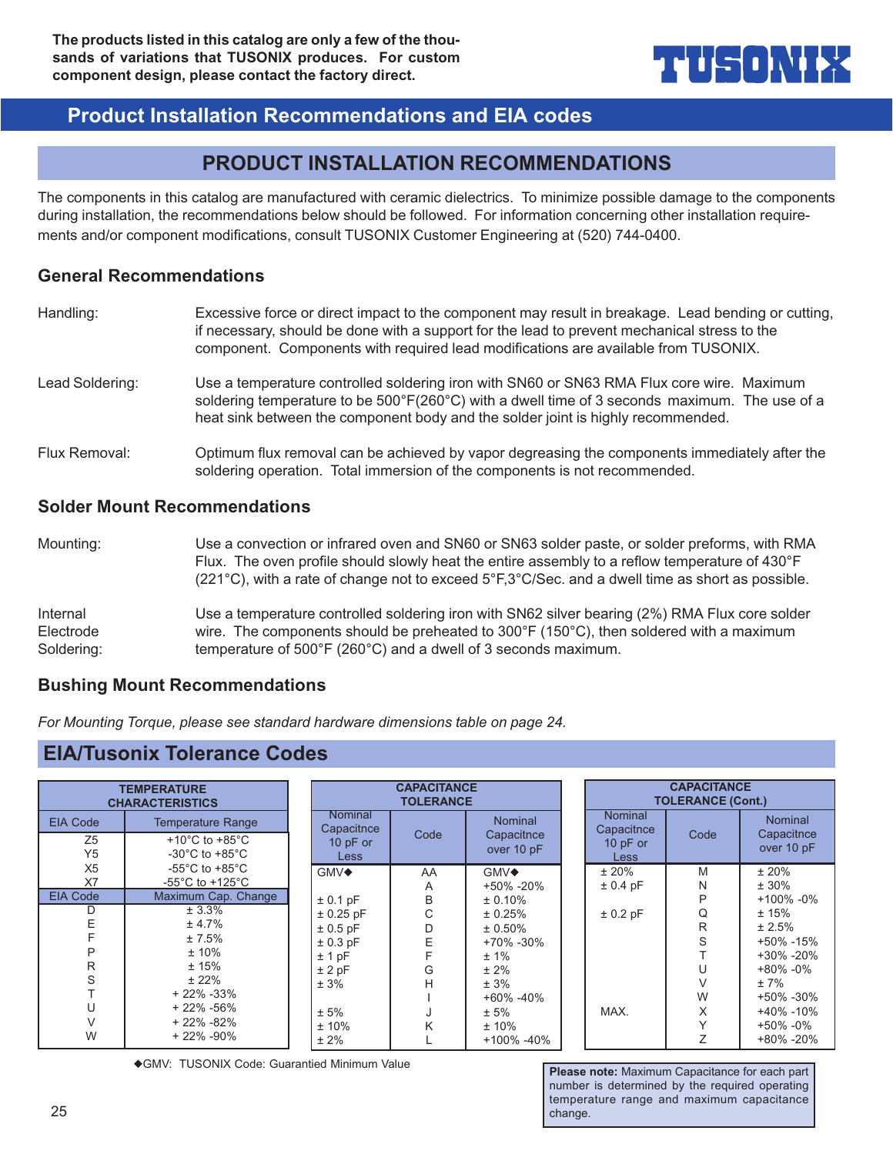## **THUSO) \\\ \**{

### **Product Installation Recommendations and EIA codes**

### **PRODUCT INSTALLATION RECOMMENDATIONS**

The components in this catalog are manufactured with ceramic dielectrics. To minimize possible damage to the components during installation, the recommendations below should be followed. For information concerning other installation requirements and/or component modifications, consult TUSONIX Customer Engineering at (520) 744-0400.

#### **General Recommendations**

| Handling:       | Excessive force or direct impact to the component may result in breakage. Lead bending or cutting,<br>if necessary, should be done with a support for the lead to prevent mechanical stress to the<br>component. Components with required lead modifications are available from TUSONIX. |  |  |  |  |
|-----------------|------------------------------------------------------------------------------------------------------------------------------------------------------------------------------------------------------------------------------------------------------------------------------------------|--|--|--|--|
| Lead Soldering: | Use a temperature controlled soldering iron with SN60 or SN63 RMA Flux core wire. Maximum<br>soldering temperature to be 500°F(260°C) with a dwell time of 3 seconds maximum. The use of a<br>heat sink between the component body and the solder joint is highly recommended.           |  |  |  |  |
| Flux Removal:   | Optimum flux removal can be achieved by vapor degreasing the components immediately after the<br>soldering operation. Total immersion of the components is not recommended.                                                                                                              |  |  |  |  |

#### **Solder Mount Recommendations**

| Mounting:  | Use a convection or infrared oven and SN60 or SN63 solder paste, or solder preforms, with RMA<br>Flux. The oven profile should slowly heat the entire assembly to a reflow temperature of 430°F<br>$(221^{\circ}C)$ , with a rate of change not to exceed $5^{\circ}F,3^{\circ}C/Sec.$ and a dwell time as short as possible. |
|------------|-------------------------------------------------------------------------------------------------------------------------------------------------------------------------------------------------------------------------------------------------------------------------------------------------------------------------------|
| Internal   | Use a temperature controlled soldering iron with SN62 silver bearing (2%) RMA Flux core solder                                                                                                                                                                                                                                |
| Electrode  | wire. The components should be preheated to 300 $\degree$ F (150 $\degree$ C), then soldered with a maximum                                                                                                                                                                                                                   |
| Soldering: | temperature of 500°F (260°C) and a dwell of 3 seconds maximum.                                                                                                                                                                                                                                                                |

#### **Bushing Mount Recommendations**

*For Mounting Torque, please see standard hardware dimensions table on page 24.*

#### **EIA/Tusonix Tolerance Codes**

| <b>TEMPERATURE</b><br><b>CHARACTERISTICS</b>        |                                                                                                        | <b>CAPACITANCE</b><br><b>TOLERANCE</b>             |      |                                            | <b>CAPACITANCE</b><br><b>TOLERANCE (Cont.)</b>            |      |                                            |  |
|-----------------------------------------------------|--------------------------------------------------------------------------------------------------------|----------------------------------------------------|------|--------------------------------------------|-----------------------------------------------------------|------|--------------------------------------------|--|
| <b>EIA Code</b><br>Z <sub>5</sub><br>Y <sub>5</sub> | <b>Temperature Range</b><br>+10 $^{\circ}$ C to +85 $^{\circ}$ C<br>$-30^{\circ}$ C to $+85^{\circ}$ C | Nominal<br>Capacitnce<br>10 $pF$ or<br><b>Less</b> | Code | <b>Nominal</b><br>Capacitnce<br>over 10 pF | <b>Nominal</b><br>Capacitnce<br>10 $pF$ or<br><b>Less</b> | Code | <b>Nominal</b><br>Capacitnce<br>over 10 pF |  |
| X <sub>5</sub>                                      | $-55^{\circ}$ C to $+85^{\circ}$ C                                                                     | GMV◆                                               | AA   | GMV◆                                       | ±20%                                                      | M    | ± 20%                                      |  |
| X7                                                  | -55 $^{\circ}$ C to +125 $^{\circ}$ C                                                                  |                                                    | A    | +50% -20%                                  | $± 0.4$ pF                                                | N    | $± 30\%$                                   |  |
| <b>EIA Code</b>                                     | Maximum Cap. Change                                                                                    | $± 0.1$ pF                                         | B    | ± 0.10%                                    |                                                           | P    | $+100\% -0\%$                              |  |
| D                                                   | ± 3.3%                                                                                                 | $± 0.25$ pF                                        | С    | ± 0.25%                                    | $± 0.2$ pF                                                | Q    | ± 15%                                      |  |
|                                                     | ± 4.7%                                                                                                 | $± 0.5$ pF                                         | D    | $± 0.50\%$                                 |                                                           | R    | ± 2.5%                                     |  |
|                                                     | ±7.5%                                                                                                  | $± 0.3$ pF                                         | Е    | $+70\% -30\%$                              |                                                           | S    | +50% -15%                                  |  |
| P                                                   | $±10\%$                                                                                                | $±1$ pF                                            |      | $± 1\%$                                    |                                                           |      | +30% -20%                                  |  |
| R                                                   | ±15%                                                                                                   | ± 2pF                                              | G    | $± 2\%$                                    |                                                           | U    | +80% -0%                                   |  |
| S                                                   | ± 22%                                                                                                  | ± 3%                                               | н    | ± 3%                                       |                                                           |      | $±7\%$                                     |  |
|                                                     | $+22\% -33\%$                                                                                          |                                                    |      | $+60\% -40\%$                              |                                                           | W    | +50% -30%                                  |  |
|                                                     | $+22\% -56\%$                                                                                          | ± 5%                                               |      | ± 5%                                       | MAX.                                                      | X    | +40% -10%                                  |  |
|                                                     | $+22\% -82\%$                                                                                          | ± 10%                                              | K    | ± 10%                                      |                                                           |      | +50% -0%                                   |  |
| W                                                   | $+22\% -90\%$                                                                                          | $± 2\%$                                            |      | +100% -40%                                 |                                                           |      | +80% -20%                                  |  |

◆GMV: TUSONIX Code: Guarantied Minimum Value **Please note: Maximum Capacitance for each part**